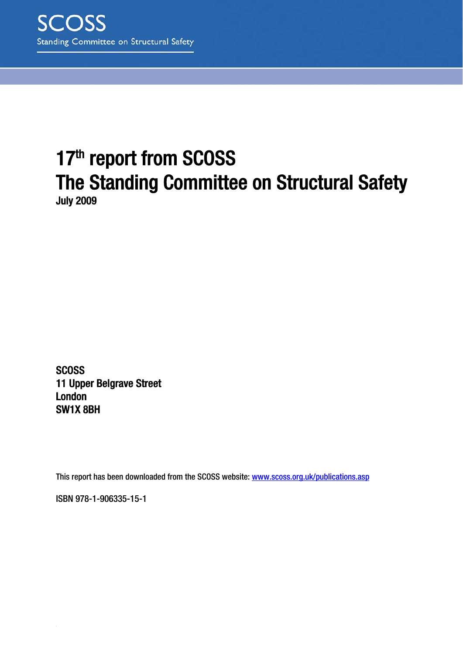# 17th report from SCOSS The Standing Committee on Structural Safety July 2009

**SCOSS** 11 Upper Belgrave Street London SW1X 8BH

This report has been downloaded from the SCOSS website: www.scoss.org.uk/publications.asp

ISBN 978-1-906335-15-1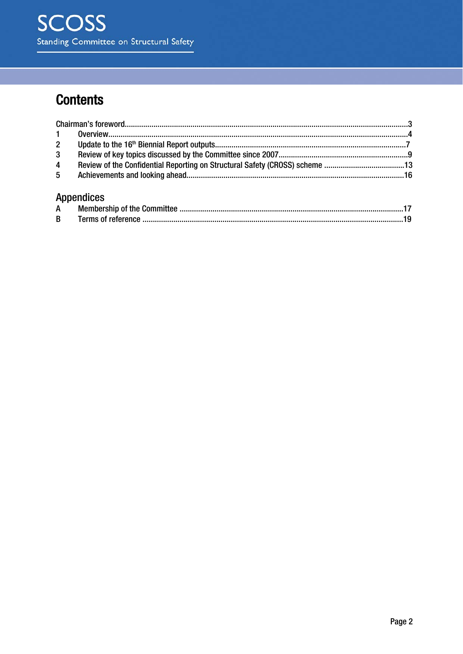# **Contents**

| 3 <sup>1</sup> |                               |  |
|----------------|-------------------------------|--|
| $\overline{4}$ |                               |  |
| 5 <sup>5</sup> |                               |  |
|                | <b>Appendices</b>             |  |
|                | A Mamharchin of the Committee |  |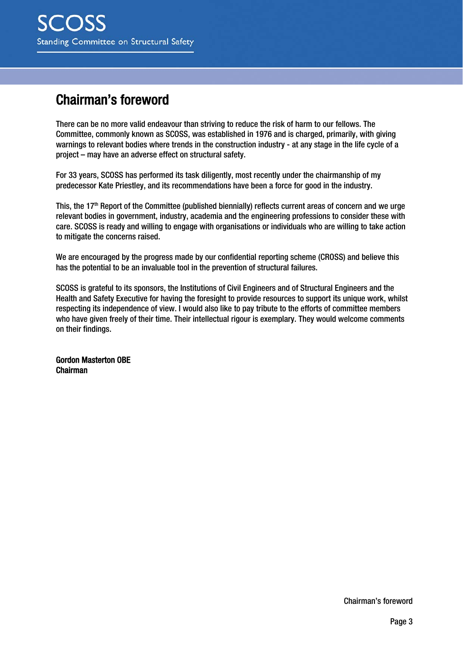# Chairman's foreword

There can be no more valid endeavour than striving to reduce the risk of harm to our fellows. The Committee, commonly known as SCOSS, was established in 1976 and is charged, primarily, with giving warnings to relevant bodies where trends in the construction industry - at any stage in the life cycle of a project – may have an adverse effect on structural safety.

For 33 years, SCOSS has performed its task diligently, most recently under the chairmanship of my predecessor Kate Priestley, and its recommendations have been a force for good in the industry.

This, the 17th Report of the Committee (published biennially) reflects current areas of concern and we urge relevant bodies in government, industry, academia and the engineering professions to consider these with care. SCOSS is ready and willing to engage with organisations or individuals who are willing to take action to mitigate the concerns raised.

We are encouraged by the progress made by our confidential reporting scheme (CROSS) and believe this has the potential to be an invaluable tool in the prevention of structural failures.

SCOSS is grateful to its sponsors, the Institutions of Civil Engineers and of Structural Engineers and the Health and Safety Executive for having the foresight to provide resources to support its unique work, whilst respecting its independence of view. I would also like to pay tribute to the efforts of committee members who have given freely of their time. Their intellectual rigour is exemplary. They would welcome comments on their findings.

Gordon Masterton OBE Chairman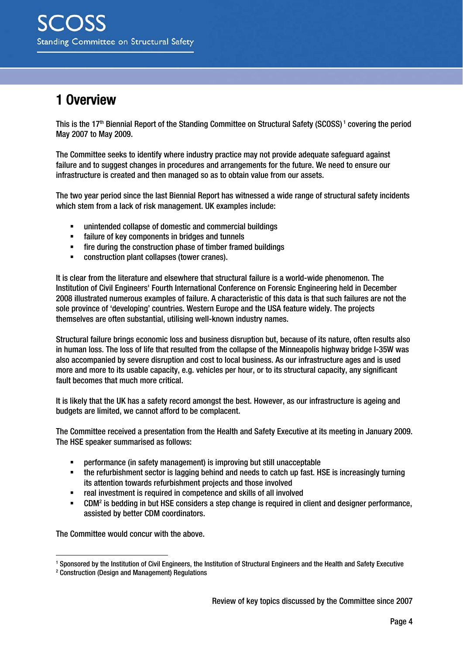# 1 Overview

This is the 17<sup>th</sup> Biennial Report of the Standing Committee on Structural Safety (SCOSS)<sup>1</sup> covering the period May 2007 to May 2009.

The Committee seeks to identify where industry practice may not provide adequate safeguard against failure and to suggest changes in procedures and arrangements for the future. We need to ensure our infrastructure is created and then managed so as to obtain value from our assets.

The two year period since the last Biennial Report has witnessed a wide range of structural safety incidents which stem from a lack of risk management. UK examples include:

- unintended collapse of domestic and commercial buildings
- failure of key components in bridges and tunnels
- **Firm the construction phase of timber framed buildings**
- construction plant collapses (tower cranes).

It is clear from the literature and elsewhere that structural failure is a world-wide phenomenon. The Institution of Civil Engineers' Fourth International Conference on Forensic Engineering held in December 2008 illustrated numerous examples of failure. A characteristic of this data is that such failures are not the sole province of 'developing' countries. Western Europe and the USA feature widely. The projects themselves are often substantial, utilising well-known industry names.

Structural failure brings economic loss and business disruption but, because of its nature, often results also in human loss. The loss of life that resulted from the collapse of the Minneapolis highway bridge I-35W was also accompanied by severe disruption and cost to local business. As our infrastructure ages and is used more and more to its usable capacity, e.g. vehicles per hour, or to its structural capacity, any significant fault becomes that much more critical.

It is likely that the UK has a safety record amongst the best. However, as our infrastructure is ageing and budgets are limited, we cannot afford to be complacent.

The Committee received a presentation from the Health and Safety Executive at its meeting in January 2009. The HSE speaker summarised as follows:

- performance (in safety management) is improving but still unacceptable
- the refurbishment sector is lagging behind and needs to catch up fast. HSE is increasingly turning its attention towards refurbishment projects and those involved
- real investment is required in competence and skills of all involved
- **EXECUM<sup>2</sup>** is bedding in but HSE considers a step change is required in client and designer performance, assisted by better CDM coordinators.

The Committee would concur with the above.

1

<sup>1</sup> Sponsored by the Institution of Civil Engineers, the Institution of Structural Engineers and the Health and Safety Executive

<sup>2</sup> Construction (Design and Management) Regulations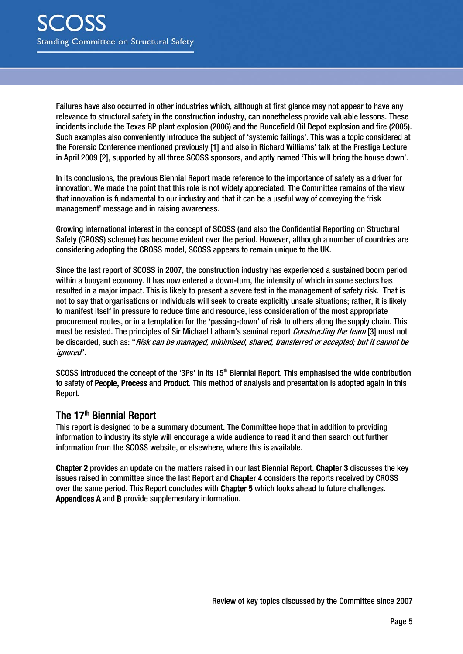Failures have also occurred in other industries which, although at first glance may not appear to have any relevance to structural safety in the construction industry, can nonetheless provide valuable lessons. These incidents include the Texas BP plant explosion (2006) and the Buncefield Oil Depot explosion and fire (2005). Such examples also conveniently introduce the subject of 'systemic failings'. This was a topic considered at the Forensic Conference mentioned previously [1] and also in Richard Williams' talk at the Prestige Lecture in April 2009 [2], supported by all three SCOSS sponsors, and aptly named 'This will bring the house down'.

In its conclusions, the previous Biennial Report made reference to the importance of safety as a driver for innovation. We made the point that this role is not widely appreciated. The Committee remains of the view that innovation is fundamental to our industry and that it can be a useful way of conveying the 'risk management' message and in raising awareness.

Growing international interest in the concept of SCOSS (and also the Confidential Reporting on Structural Safety (CROSS) scheme) has become evident over the period. However, although a number of countries are considering adopting the CROSS model, SCOSS appears to remain unique to the UK.

Since the last report of SCOSS in 2007, the construction industry has experienced a sustained boom period within a buoyant economy. It has now entered a down-turn, the intensity of which in some sectors has resulted in a major impact. This is likely to present a severe test in the management of safety risk. That is not to say that organisations or individuals will seek to create explicitly unsafe situations; rather, it is likely to manifest itself in pressure to reduce time and resource, less consideration of the most appropriate procurement routes, or in a temptation for the 'passing-down' of risk to others along the supply chain. This must be resisted. The principles of Sir Michael Latham's seminal report *Constructing the team* [3] must not be discarded, such as: "Risk can be managed, minimised, shared, transferred or accepted; but it cannot be ignored".

SCOSS introduced the concept of the '3Ps' in its 15th Biennial Report. This emphasised the wide contribution to safety of People, Process and Product. This method of analysis and presentation is adopted again in this Report.

### The 17<sup>th</sup> Biennial Report

This report is designed to be a summary document. The Committee hope that in addition to providing information to industry its style will encourage a wide audience to read it and then search out further information from the SCOSS website, or elsewhere, where this is available.

Chapter 2 provides an update on the matters raised in our last Biennial Report. Chapter 3 discusses the key issues raised in committee since the last Report and Chapter 4 considers the reports received by CROSS over the same period. This Report concludes with Chapter 5 which looks ahead to future challenges. Appendices A and B provide supplementary information.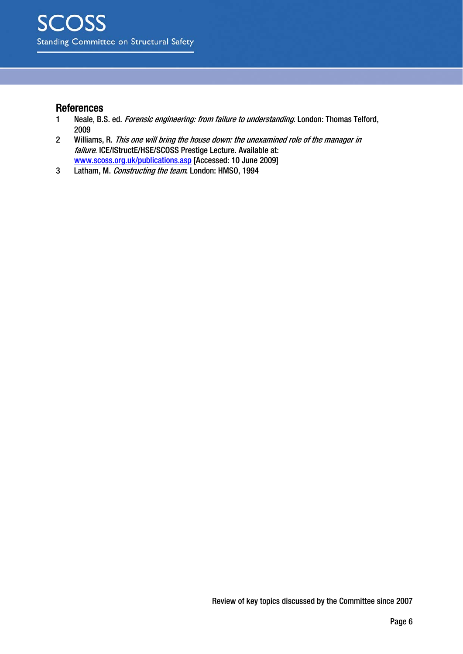#### References

- 1 Neale, B.S. ed. Forensic engineering: from failure to understanding. London: Thomas Telford, 2009
- 2 Williams, R. This one will bring the house down: the unexamined role of the manager in failure. ICE/IStructE/HSE/SCOSS Prestige Lecture. Available at: www.scoss.org.uk/publications.asp [Accessed: 10 June 2009]
- 3 Latham, M. Constructing the team. London: HMSO, 1994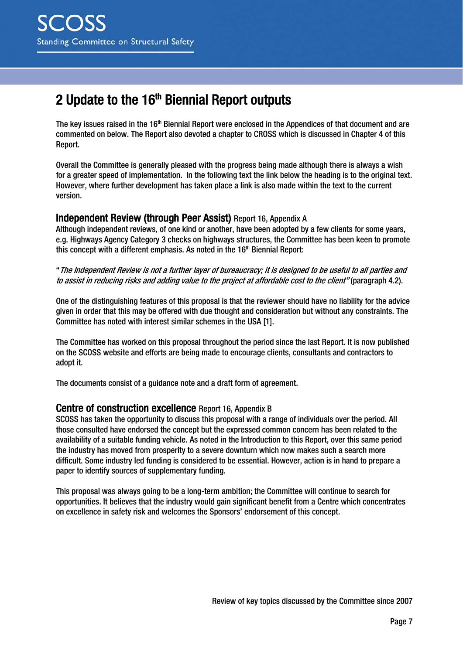# 2 Update to the  $16<sup>th</sup>$  Biennial Report outputs

The key issues raised in the  $16<sup>th</sup>$  Biennial Report were enclosed in the Appendices of that document and are commented on below. The Report also devoted a chapter to CROSS which is discussed in Chapter 4 of this Report.

Overall the Committee is generally pleased with the progress being made although there is always a wish for a greater speed of implementation. In the following text the link below the heading is to the original text. However, where further development has taken place a link is also made within the text to the current version.

#### Independent Review (through Peer Assist) Report 16, Appendix A

Although independent reviews, of one kind or another, have been adopted by a few clients for some years, e.g. Highways Agency Category 3 checks on highways structures, the Committee has been keen to promote this concept with a different emphasis. As noted in the 16<sup>th</sup> Biennial Report:

"The Independent Review is not a further layer of bureaucracy; it is designed to be useful to all parties and to assist in reducing risks and adding value to the project at affordable cost to the client" (paragraph 4.2).

One of the distinguishing features of this proposal is that the reviewer should have no liability for the advice given in order that this may be offered with due thought and consideration but without any constraints. The Committee has noted with interest similar schemes in the USA [1].

The Committee has worked on this proposal throughout the period since the last Report. It is now published on the SCOSS website and efforts are being made to encourage clients, consultants and contractors to adopt it.

The documents consist of a guidance note and a draft form of agreement.

#### Centre of construction excellence Report 16, Appendix B

SCOSS has taken the opportunity to discuss this proposal with a range of individuals over the period. All those consulted have endorsed the concept but the expressed common concern has been related to the availability of a suitable funding vehicle. As noted in the Introduction to this Report, over this same period the industry has moved from prosperity to a severe downturn which now makes such a search more difficult. Some industry led funding is considered to be essential. However, action is in hand to prepare a paper to identify sources of supplementary funding.

This proposal was always going to be a long-term ambition; the Committee will continue to search for opportunities. It believes that the industry would gain significant benefit from a Centre which concentrates on excellence in safety risk and welcomes the Sponsors' endorsement of this concept.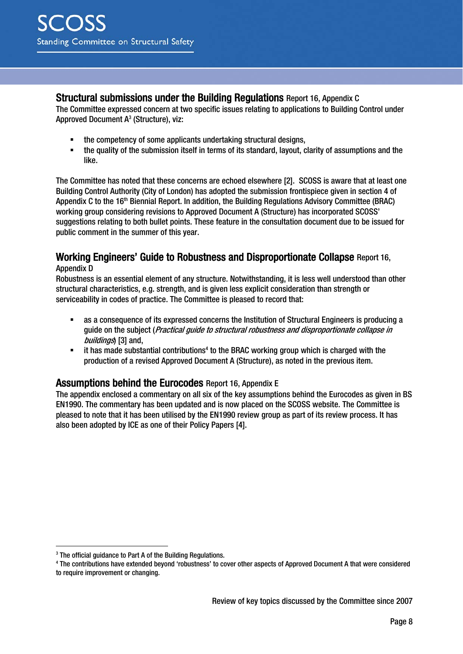#### Structural submissions under the Building Regulations Report 16, Appendix C

The Committee expressed concern at two specific issues relating to applications to Building Control under Approved Document  $A^3$  (Structure), viz:

- the competency of some applicants undertaking structural designs,<br>■ the quality of the submission itself in terms of its standard layout of
- the quality of the submission itself in terms of its standard, layout, clarity of assumptions and the like.

The Committee has noted that these concerns are echoed elsewhere [2]. SCOSS is aware that at least one Building Control Authority (City of London) has adopted the submission frontispiece given in section 4 of Appendix C to the 16<sup>th</sup> Biennial Report. In addition, the Building Regulations Advisory Committee (BRAC) working group considering revisions to Approved Document A (Structure) has incorporated SCOSS' suggestions relating to both bullet points. These feature in the consultation document due to be issued for public comment in the summer of this year.

### Working Engineers' Guide to Robustness and Disproportionate Collapse Report 16,

#### Appendix D

1

Robustness is an essential element of any structure. Notwithstanding, it is less well understood than other structural characteristics, e.g. strength, and is given less explicit consideration than strength or serviceability in codes of practice. The Committee is pleased to record that:

- as a consequence of its expressed concerns the Institution of Structural Engineers is producing a quide on the subject (*Practical quide to structural robustness and disproportionate collapse in* buildings) [3] and,
- $\blacksquare$  it has made substantial contributions<sup>4</sup> to the BRAC working group which is charged with the production of a revised Approved Document A (Structure), as noted in the previous item.

#### Assumptions behind the Eurocodes Report 16, Appendix E

The appendix enclosed a commentary on all six of the key assumptions behind the Eurocodes as given in BS EN1990. The commentary has been updated and is now placed on the SCOSS website. The Committee is pleased to note that it has been utilised by the EN1990 review group as part of its review process. It has also been adopted by ICE as one of their Policy Papers [4].

<sup>3</sup> The official guidance to Part A of the Building Regulations.

<sup>4</sup> The contributions have extended beyond 'robustness' to cover other aspects of Approved Document A that were considered to require improvement or changing.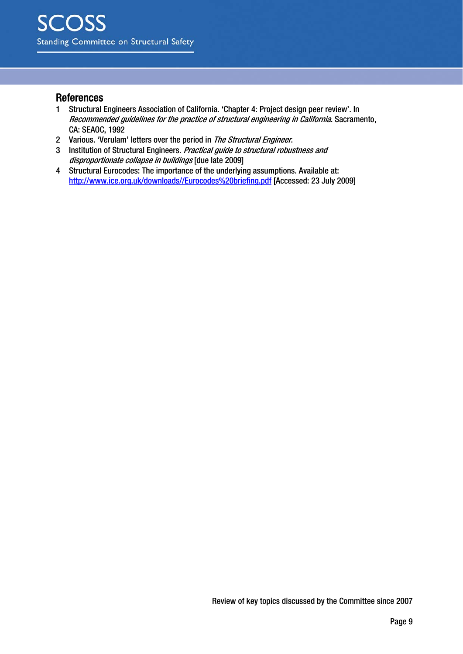#### References

- 1 Structural Engineers Association of California. 'Chapter 4: Project design peer review'. In Recommended guidelines for the practice of structural engineering in California. Sacramento, CA: SEAOC, 1992
- 2 Various. 'Verulam' letters over the period in The Structural Engineer.
- 3 Institution of Structural Engineers. Practical guide to structural robustness and disproportionate collapse in buildings [due late 2009]
- 4 Structural Eurocodes: The importance of the underlying assumptions. Available at: http://www.ice.org.uk/downloads//Eurocodes%20briefing.pdf [Accessed: 23 July 2009]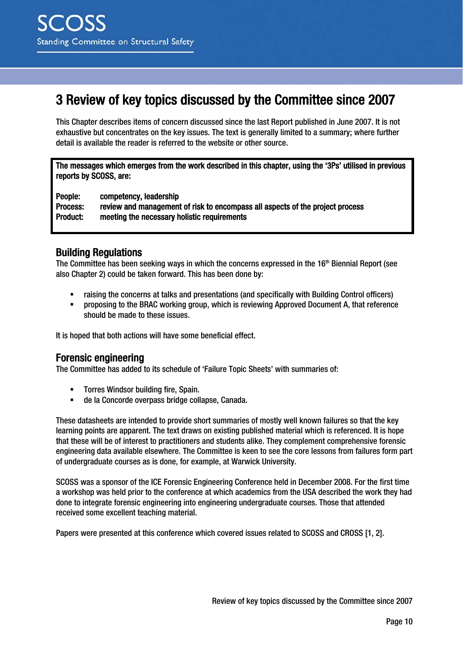# 3 Review of key topics discussed by the Committee since 2007

This Chapter describes items of concern discussed since the last Report published in June 2007. It is not exhaustive but concentrates on the key issues. The text is generally limited to a summary; where further detail is available the reader is referred to the website or other source.

The messages which emerges from the work described in this chapter, using the '3Ps' utilised in previous reports by SCOSS, are:

People: competency, leadership Process: review and management of risk to encompass all aspects of the project process Product: meeting the necessary holistic requirements

### Building Regulations

The Committee has been seeking ways in which the concerns expressed in the 16th Biennial Report (see also Chapter 2) could be taken forward. This has been done by:

- raising the concerns at talks and presentations (and specifically with Building Control officers)
- proposing to the BRAC working group, which is reviewing Approved Document A, that reference should be made to these issues.

It is hoped that both actions will have some beneficial effect.

### Forensic engineering

The Committee has added to its schedule of 'Failure Topic Sheets' with summaries of:

- **Torres Windsor building fire, Spain.**
- de la Concorde overpass bridge collapse, Canada.

These datasheets are intended to provide short summaries of mostly well known failures so that the key learning points are apparent. The text draws on existing published material which is referenced. It is hope that these will be of interest to practitioners and students alike. They complement comprehensive forensic engineering data available elsewhere. The Committee is keen to see the core lessons from failures form part of undergraduate courses as is done, for example, at Warwick University.

SCOSS was a sponsor of the ICE Forensic Engineering Conference held in December 2008. For the first time a workshop was held prior to the conference at which academics from the USA described the work they had done to integrate forensic engineering into engineering undergraduate courses. Those that attended received some excellent teaching material.

Papers were presented at this conference which covered issues related to SCOSS and CROSS [1, 2].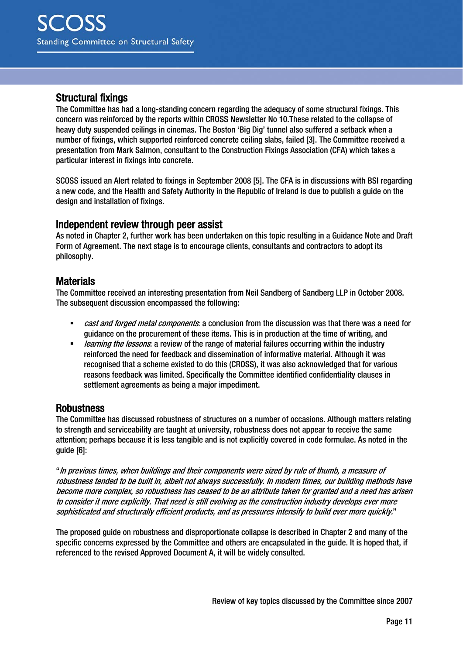#### Structural fixings

The Committee has had a long-standing concern regarding the adequacy of some structural fixings. This concern was reinforced by the reports within CROSS Newsletter No 10.These related to the collapse of heavy duty suspended ceilings in cinemas. The Boston 'Big Dig' tunnel also suffered a setback when a number of fixings, which supported reinforced concrete ceiling slabs, failed [3]. The Committee received a presentation from Mark Salmon, consultant to the Construction Fixings Association (CFA) which takes a particular interest in fixings into concrete.

SCOSS issued an Alert related to fixings in September 2008 [5]. The CFA is in discussions with BSI regarding a new code, and the Health and Safety Authority in the Republic of Ireland is due to publish a guide on the design and installation of fixings.

#### Independent review through peer assist

As noted in Chapter 2, further work has been undertaken on this topic resulting in a Guidance Note and Draft Form of Agreement. The next stage is to encourage clients, consultants and contractors to adopt its philosophy.

#### **Materials**

The Committee received an interesting presentation from Neil Sandberg of Sandberg LLP in October 2008. The subsequent discussion encompassed the following:

- **EXECT** and *forged metal components*: a conclusion from the discussion was that there was a need for guidance on the procurement of these items. This is in production at the time of writing, and
- **EXECT** *learning the lessons*: a review of the range of material failures occurring within the industry reinforced the need for feedback and dissemination of informative material. Although it was recognised that a scheme existed to do this (CROSS), it was also acknowledged that for various reasons feedback was limited. Specifically the Committee identified confidentiality clauses in settlement agreements as being a major impediment.

#### **Robustness**

The Committee has discussed robustness of structures on a number of occasions. Although matters relating to strength and serviceability are taught at university, robustness does not appear to receive the same attention; perhaps because it is less tangible and is not explicitly covered in code formulae. As noted in the guide [6]:

"In previous times, when buildings and their components were sized by rule of thumb, a measure of robustness tended to be built in, albeit not always successfully. In modern times, our building methods have become more complex, so robustness has ceased to be an attribute taken for granted and a need has arisen to consider it more explicitly. That need is still evolving as the construction industry develops ever more sophisticated and structurally efficient products, and as pressures intensify to build ever more quickly."

The proposed guide on robustness and disproportionate collapse is described in Chapter 2 and many of the specific concerns expressed by the Committee and others are encapsulated in the guide. It is hoped that, if referenced to the revised Approved Document A, it will be widely consulted.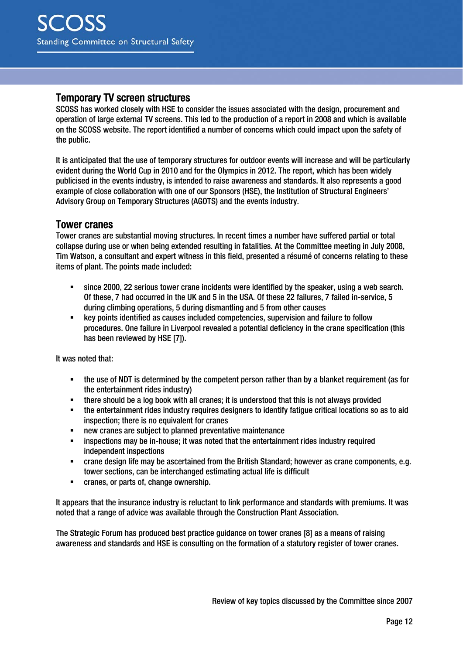#### Temporary TV screen structures

SCOSS has worked closely with HSE to consider the issues associated with the design, procurement and operation of large external TV screens. This led to the production of a report in 2008 and which is available on the SCOSS website. The report identified a number of concerns which could impact upon the safety of the public.

It is anticipated that the use of temporary structures for outdoor events will increase and will be particularly evident during the World Cup in 2010 and for the Olympics in 2012. The report, which has been widely publicised in the events industry, is intended to raise awareness and standards. It also represents a good example of close collaboration with one of our Sponsors (HSE), the Institution of Structural Engineers' Advisory Group on Temporary Structures (AGOTS) and the events industry.

#### Tower cranes

Tower cranes are substantial moving structures. In recent times a number have suffered partial or total collapse during use or when being extended resulting in fatalities. At the Committee meeting in July 2008, Tim Watson, a consultant and expert witness in this field, presented a résumé of concerns relating to these items of plant. The points made included:

- since 2000, 22 serious tower crane incidents were identified by the speaker, using a web search. Of these, 7 had occurred in the UK and 5 in the USA. Of these 22 failures, 7 failed in-service, 5 during climbing operations, 5 during dismantling and 5 from other causes
- key points identified as causes included competencies, supervision and failure to follow procedures. One failure in Liverpool revealed a potential deficiency in the crane specification (this has been reviewed by HSE [7]).

It was noted that:

- the use of NDT is determined by the competent person rather than by a blanket requirement (as for the entertainment rides industry)
- there should be a log book with all cranes; it is understood that this is not always provided
- the entertainment rides industry requires designers to identify fatigue critical locations so as to aid inspection; there is no equivalent for cranes
- new cranes are subject to planned preventative maintenance
- **EXECT** inspections may be in-house; it was noted that the entertainment rides industry required independent inspections
- crane design life may be ascertained from the British Standard; however as crane components, e.g. tower sections, can be interchanged estimating actual life is difficult
- cranes, or parts of, change ownership.

It appears that the insurance industry is reluctant to link performance and standards with premiums. It was noted that a range of advice was available through the Construction Plant Association.

The Strategic Forum has produced best practice guidance on tower cranes [8] as a means of raising awareness and standards and HSE is consulting on the formation of a statutory register of tower cranes.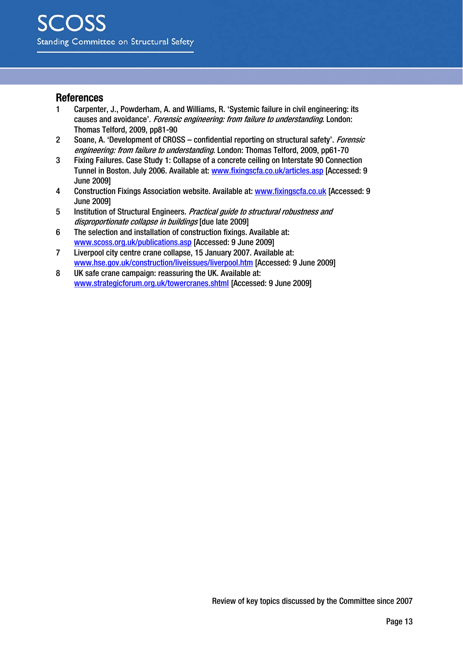#### References

- 1 Carpenter, J., Powderham, A. and Williams, R. 'Systemic failure in civil engineering: its causes and avoidance'. Forensic engineering: from failure to understanding. London: Thomas Telford, 2009, pp81-90
- 2 Soane, A. 'Development of CROSS confidential reporting on structural safety', Forensic engineering: from failure to understanding. London: Thomas Telford, 2009, pp61-70
- 3 Fixing Failures. Case Study 1: Collapse of a concrete ceiling on Interstate 90 Connection Tunnel in Boston. July 2006. Available at: www.fixingscfa.co.uk/articles.asp [Accessed: 9 June 2009]
- 4 Construction Fixings Association website. Available at: www.fixingscfa.co.uk [Accessed: 9 June 2009]
- 5 Institution of Structural Engineers. Practical guide to structural robustness and disproportionate collapse in buildings [due late 2009]
- 6 The selection and installation of construction fixings. Available at: www.scoss.org.uk/publications.asp [Accessed: 9 June 2009]
- 7 Liverpool city centre crane collapse, 15 January 2007. Available at: www.hse.gov.uk/construction/liveissues/liverpool.htm [Accessed: 9 June 2009]
- 8 UK safe crane campaign: reassuring the UK. Available at: www.strategicforum.org.uk/towercranes.shtml [Accessed: 9 June 2009]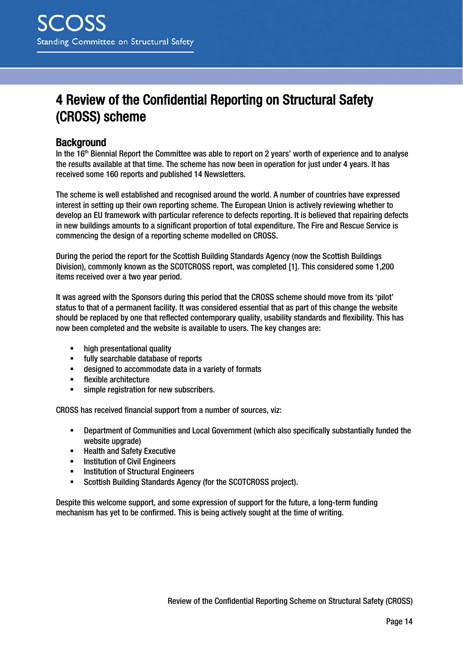# 4 Review of the Confidential Reporting on Structural Safety (CROSS) scheme

### **Background**

In the 16<sup>th</sup> Biennial Report the Committee was able to report on 2 years' worth of experience and to analyse the results available at that time. The scheme has now been in operation for just under 4 years. It has received some 160 reports and published 14 Newsletters.

The scheme is well established and recognised around the world. A number of countries have expressed interest in setting up their own reporting scheme. The European Union is actively reviewing whether to develop an EU framework with particular reference to defects reporting. It is believed that repairing defects in new buildings amounts to a significant proportion of total expenditure. The Fire and Rescue Service is commencing the design of a reporting scheme modelled on CROSS.

During the period the report for the Scottish Building Standards Agency (now the Scottish Buildings Division), commonly known as the SCOTCROSS report, was completed [1]. This considered some 1,200 items received over a two year period.

It was agreed with the Sponsors during this period that the CROSS scheme should move from its 'pilot' status to that of a permanent facility. It was considered essential that as part of this change the website should be replaced by one that reflected contemporary quality, usability standards and flexibility. This has now been completed and the website is available to users. The key changes are:

- high presentational quality
- fully searchable database of reports
- designed to accommodate data in a variety of formats
- **Filexible architecture**
- simple registration for new subscribers.

CROSS has received financial support from a number of sources, viz:

- Department of Communities and Local Government (which also specifically substantially funded the website upgrade)
- Health and Safety Executive<br>■ Institution of Civil Engineers
- Institution of Civil Engineers
- **EXECUTE:** Institution of Structural Engineers
- Scottish Building Standards Agency (for the SCOTCROSS project).

Despite this welcome support, and some expression of support for the future, a long-term funding mechanism has yet to be confirmed. This is being actively sought at the time of writing.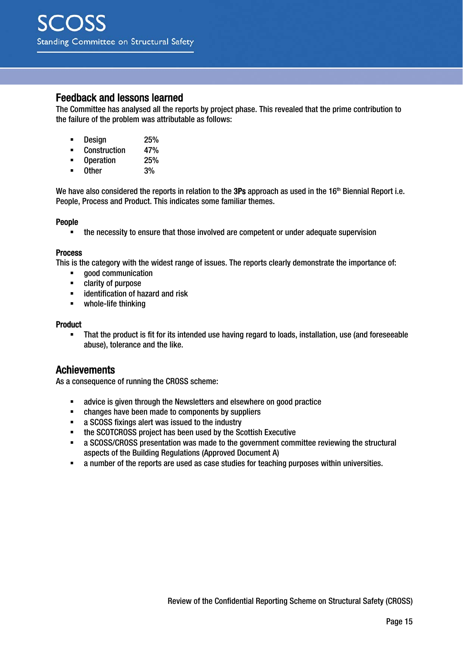#### Feedback and lessons learned

The Committee has analysed all the reports by project phase. This revealed that the prime contribution to the failure of the problem was attributable as follows:

- **Design 25%**<br>Construction 47%
- **Construction 47%**<br>Construction 47%
- **Operation**
- Other 3%

We have also considered the reports in relation to the 3Ps approach as used in the 16<sup>th</sup> Biennial Report i.e. People, Process and Product. This indicates some familiar themes.

#### People

the necessity to ensure that those involved are competent or under adequate supervision

#### Process

This is the category with the widest range of issues. The reports clearly demonstrate the importance of:

- **good communication**
- **-** clarity of purpose
- **EXECUTE:** identification of hazard and risk
- whole-life thinking

#### Product

 That the product is fit for its intended use having regard to loads, installation, use (and foreseeable abuse), tolerance and the like.

#### Achievements

As a consequence of running the CROSS scheme:

- advice is given through the Newsletters and elsewhere on good practice
- changes have been made to components by suppliers
- **a** SCOSS fixings alert was issued to the industry<br>**he SCOTCROSS project has been used by the Sc**
- the SCOTCROSS project has been used by the Scottish Executive
- a SCOSS/CROSS presentation was made to the government committee reviewing the structural aspects of the Building Regulations (Approved Document A)
- a number of the reports are used as case studies for teaching purposes within universities.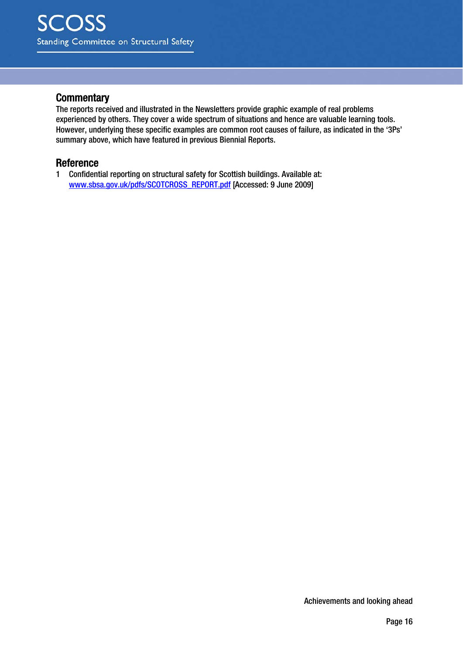#### **Commentary**

The reports received and illustrated in the Newsletters provide graphic example of real problems experienced by others. They cover a wide spectrum of situations and hence are valuable learning tools. However, underlying these specific examples are common root causes of failure, as indicated in the '3Ps' summary above, which have featured in previous Biennial Reports.

#### Reference

1 Confidential reporting on structural safety for Scottish buildings. Available at: www.sbsa.gov.uk/pdfs/SCOTCROSS\_REPORT.pdf [Accessed: 9 June 2009]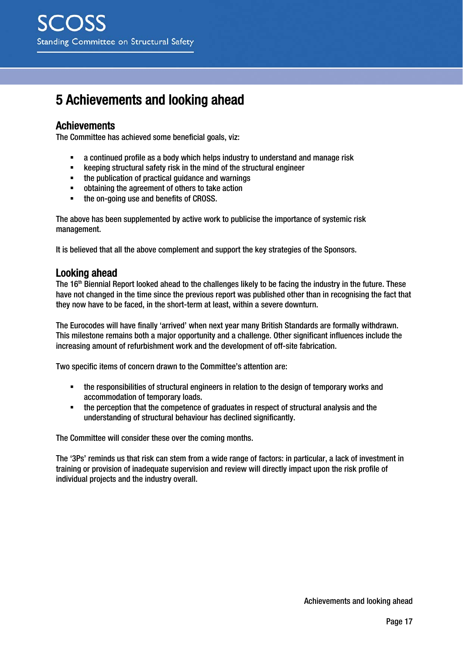# 5 Achievements and looking ahead

### Achievements

The Committee has achieved some beneficial goals, viz:

- a continued profile as a body which helps industry to understand and manage risk
- **EXECTED EXECTED EXECTED EXECTED** Safety risk in the mind of the structural engineer
- the publication of practical guidance and warnings<br>■ obtaining the agreement of others to take action
- obtaining the agreement of others to take action
- the on-going use and benefits of CROSS.

The above has been supplemented by active work to publicise the importance of systemic risk management.

It is believed that all the above complement and support the key strategies of the Sponsors.

#### Looking ahead

The 16<sup>th</sup> Biennial Report looked ahead to the challenges likely to be facing the industry in the future. These have not changed in the time since the previous report was published other than in recognising the fact that they now have to be faced, in the short-term at least, within a severe downturn.

The Eurocodes will have finally 'arrived' when next year many British Standards are formally withdrawn. This milestone remains both a major opportunity and a challenge. Other significant influences include the increasing amount of refurbishment work and the development of off-site fabrication.

Two specific items of concern drawn to the Committee's attention are:

- the responsibilities of structural engineers in relation to the design of temporary works and accommodation of temporary loads.
- the perception that the competence of graduates in respect of structural analysis and the understanding of structural behaviour has declined significantly.

The Committee will consider these over the coming months.

The '3Ps' reminds us that risk can stem from a wide range of factors: in particular, a lack of investment in training or provision of inadequate supervision and review will directly impact upon the risk profile of individual projects and the industry overall.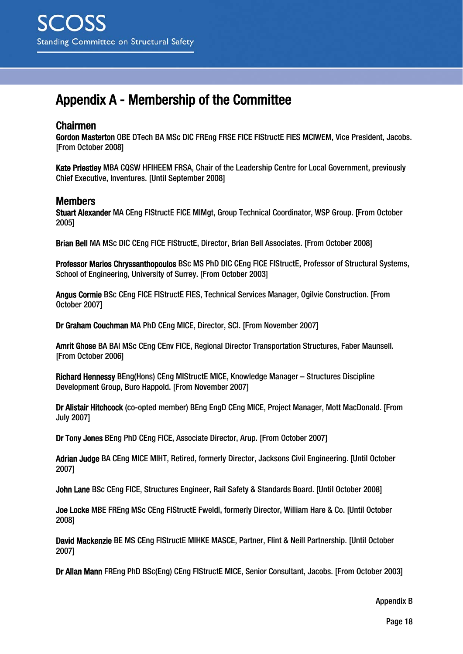# Appendix A - Membership of the Committee

#### Chairmen

Gordon Masterton OBE DTech BA MSc DIC FREng FRSE FICE FIStructE FIES MCIWEM, Vice President, Jacobs. [From October 2008]

Kate Priestley MBA CQSW HFIHEEM FRSA, Chair of the Leadership Centre for Local Government, previously Chief Executive, Inventures. [Until September 2008]

### Members

Stuart Alexander MA CEng FIStructE FICE MIMgt, Group Technical Coordinator, WSP Group. [From October 2005]

Brian Bell MA MSc DIC CEng FICE FIStructE, Director, Brian Bell Associates. [From October 2008]

Professor Marios Chryssanthopoulos BSc MS PhD DIC CEng FICE FIStructE, Professor of Structural Systems, School of Engineering, University of Surrey. [From October 2003]

Angus Cormie BSc CEng FICE FIStructE FIES, Technical Services Manager, Ogilvie Construction. [From October 2007]

Dr Graham Couchman MA PhD CEng MICE, Director, SCI. [From November 2007]

Amrit Ghose BA BAI MSc CEng CEnv FICE, Regional Director Transportation Structures, Faber Maunsell. [From October 2006]

Richard Hennessy BEng(Hons) CEng MIStructE MICE, Knowledge Manager – Structures Discipline Development Group, Buro Happold. [From November 2007]

Dr Alistair Hitchcock (co-opted member) BEng EngD CEng MICE, Project Manager, Mott MacDonald. [From July 2007]

Dr Tony Jones BEng PhD CEng FICE, Associate Director, Arup. [From October 2007]

Adrian Judge BA CEng MICE MIHT, Retired, formerly Director, Jacksons Civil Engineering. [Until October 2007]

John Lane BSc CEng FICE, Structures Engineer, Rail Safety & Standards Board. [Until October 2008]

Joe Locke MBE FREng MSc CEng FIStructE Fweldl, formerly Director, William Hare & Co. [Until October 2008]

David Mackenzie BE MS CEng FIStructE MIHKE MASCE, Partner, Flint & Neill Partnership. [Until October 2007]

Dr Allan Mann FREng PhD BSc(Eng) CEng FIStructE MICE, Senior Consultant, Jacobs. [From October 2003]

Appendix B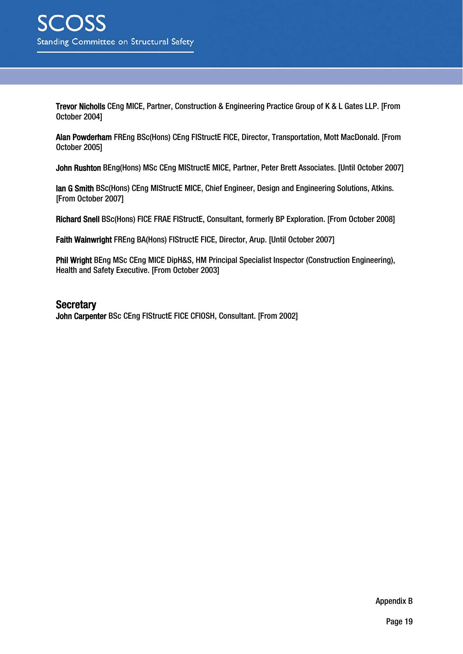Trevor Nicholls CEng MICE, Partner, Construction & Engineering Practice Group of K & L Gates LLP. [From October 2004]

Alan Powderham FREng BSc(Hons) CEng FIStructE FICE, Director, Transportation, Mott MacDonald. [From October 2005]

John Rushton BEng(Hons) MSc CEng MIStructE MICE, Partner, Peter Brett Associates. [Until October 2007]

Ian G Smith BSc(Hons) CEng MIStructE MICE, Chief Engineer, Design and Engineering Solutions, Atkins. [From October 2007]

Richard Snell BSc(Hons) FICE FRAE FIStructE, Consultant, formerly BP Exploration. [From October 2008]

Faith Wainwright FREng BA(Hons) FIStructE FICE, Director, Arup. [Until October 2007]

Phil Wright BEng MSc CEng MICE DipH&S, HM Principal Specialist Inspector (Construction Engineering), Health and Safety Executive. [From October 2003]

#### **Secretary**

John Carpenter BSc CEng FIStructE FICE CFIOSH, Consultant. [From 2002]